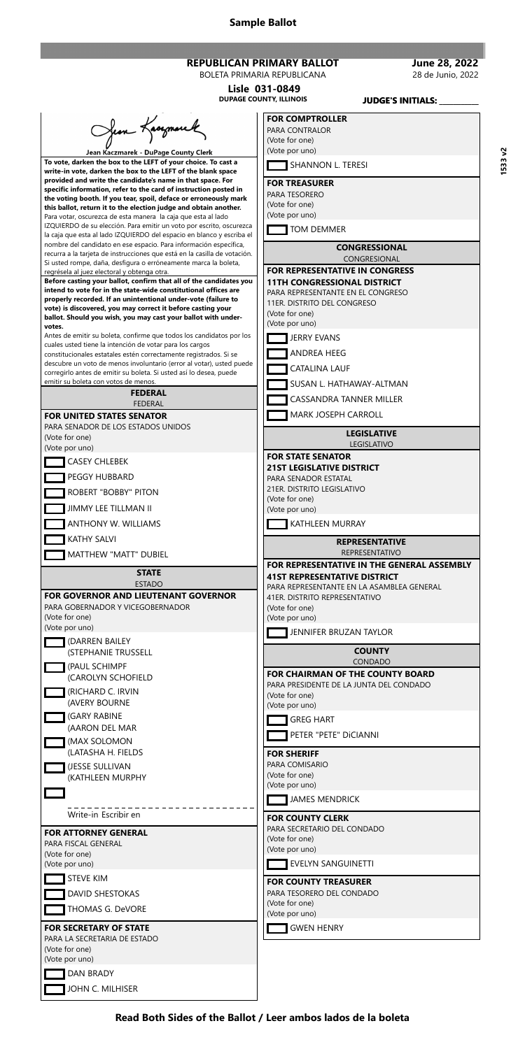**Sample Ballot**

**Read Both Sides of the Ballot / Leer ambos lados de la boleta**

**Lisle 031-0849**

**June 28, 2022** 28 de Junio, 2022

| <b>REPUBLICAN PRIMARY BALLOT</b> |  |
|----------------------------------|--|
| ----------------------------     |  |

BOLETA PRIMARIA REPUBLICANA

|                                                                                                                                                                                                                                                                                                                                                                                                                                                                                                                                                                                                                                                                                                                                                                                                                                                                                                                                                                                                                                                                                                                                                                                                                                                                                                                                                                                                                                                                                                                                                                                                                                                                                                                                                                                   | <b>DUPAGE COUNTY, ILLINOIS</b><br><b>JUDGE'S INITIALS:</b>                                                                                                                                                                                                                                                                                                                                                                                                                                                                                                                    |
|-----------------------------------------------------------------------------------------------------------------------------------------------------------------------------------------------------------------------------------------------------------------------------------------------------------------------------------------------------------------------------------------------------------------------------------------------------------------------------------------------------------------------------------------------------------------------------------------------------------------------------------------------------------------------------------------------------------------------------------------------------------------------------------------------------------------------------------------------------------------------------------------------------------------------------------------------------------------------------------------------------------------------------------------------------------------------------------------------------------------------------------------------------------------------------------------------------------------------------------------------------------------------------------------------------------------------------------------------------------------------------------------------------------------------------------------------------------------------------------------------------------------------------------------------------------------------------------------------------------------------------------------------------------------------------------------------------------------------------------------------------------------------------------|-------------------------------------------------------------------------------------------------------------------------------------------------------------------------------------------------------------------------------------------------------------------------------------------------------------------------------------------------------------------------------------------------------------------------------------------------------------------------------------------------------------------------------------------------------------------------------|
| from Kacymare<br>Jean Kaczmarek - DuPage County Clerk<br>To vote, darken the box to the LEFT of your choice. To cast a<br>write-in vote, darken the box to the LEFT of the blank space<br>provided and write the candidate's name in that space. For<br>specific information, refer to the card of instruction posted in<br>the voting booth. If you tear, spoil, deface or erroneously mark<br>this ballot, return it to the election judge and obtain another.<br>Para votar, oscurezca de esta manera la caja que esta al lado<br>IZQUIERDO de su elección. Para emitir un voto por escrito, oscurezca<br>la caja que esta al lado IZQUIERDO del espacio en blanco y escriba el<br>nombre del candidato en ese espacio. Para información específica,<br>recurra a la tarjeta de instrucciones que está en la casilla de votación.<br>Si usted rompe, daña, desfigura o erróneamente marca la boleta,<br>regrésela al juez electoral y obtenga otra.<br>Before casting your ballot, confirm that all of the candidates you<br>intend to vote for in the state-wide constitutional offices are<br>properly recorded. If an unintentional under-vote (failure to<br>vote) is discovered, you may correct it before casting your<br>ballot. Should you wish, you may cast your ballot with under-<br>votes.<br>Antes de emitir su boleta, confirme que todos los candidatos por los<br>cuales usted tiene la intención de votar para los cargos<br>constitucionales estatales estén correctamente registrados. Si se<br>descubre un voto de menos involuntario (error al votar), usted puede<br>corregirlo antes de emitir su boleta. Si usted así lo desea, puede<br>emitir su boleta con votos de menos.<br><b>FEDERAL</b><br><b>FEDERAL</b><br><b>FOR UNITED STATES SENATOR</b> | <b>FOR COMPTROLLER</b><br>PARA CONTRALOR<br>(Vote for one)<br>(Vote por uno)<br>SHANNON L. TERESI<br><b>FOR TREASURER</b><br>PARA TESORERO<br>(Vote for one)<br>(Vote por uno)<br>TOM DEMMER<br><b>CONGRESSIONAL</b><br><b>CONGRESIONAL</b><br><b>FOR REPRESENTATIVE IN CONGRESS</b><br><b>11TH CONGRESSIONAL DISTRICT</b><br>PARA REPRESENTANTE EN EL CONGRESO<br>11ER. DISTRITO DEL CONGRESO<br>(Vote for one)<br>(Vote por uno)<br><b>JERRY EVANS</b><br>ANDREA HEEG<br><b>CATALINA LAUF</b><br>SUSAN L. HATHAWAY-ALTMAN<br>CASSANDRA TANNER MILLER<br>MARK JOSEPH CARROLL |
| PARA SENADOR DE LOS ESTADOS UNIDOS<br>(Vote for one)                                                                                                                                                                                                                                                                                                                                                                                                                                                                                                                                                                                                                                                                                                                                                                                                                                                                                                                                                                                                                                                                                                                                                                                                                                                                                                                                                                                                                                                                                                                                                                                                                                                                                                                              | <b>LEGISLATIVE</b>                                                                                                                                                                                                                                                                                                                                                                                                                                                                                                                                                            |
| (Vote por uno)                                                                                                                                                                                                                                                                                                                                                                                                                                                                                                                                                                                                                                                                                                                                                                                                                                                                                                                                                                                                                                                                                                                                                                                                                                                                                                                                                                                                                                                                                                                                                                                                                                                                                                                                                                    | <b>LEGISLATIVO</b>                                                                                                                                                                                                                                                                                                                                                                                                                                                                                                                                                            |
| <b>CASEY CHLEBEK</b><br>PEGGY HUBBARD<br><b>ROBERT "BOBBY" PITON</b><br>JIMMY LEE TILLMAN II<br>ANTHONY W. WILLIAMS                                                                                                                                                                                                                                                                                                                                                                                                                                                                                                                                                                                                                                                                                                                                                                                                                                                                                                                                                                                                                                                                                                                                                                                                                                                                                                                                                                                                                                                                                                                                                                                                                                                               | <b>FOR STATE SENATOR</b><br><b>21ST LEGISLATIVE DISTRICT</b><br>PARA SENADOR ESTATAL<br>21ER. DISTRITO LEGISLATIVO<br>(Vote for one)<br>(Vote por uno)<br>KATHLEEN MURRAY                                                                                                                                                                                                                                                                                                                                                                                                     |
| <b>KATHY SALVI</b>                                                                                                                                                                                                                                                                                                                                                                                                                                                                                                                                                                                                                                                                                                                                                                                                                                                                                                                                                                                                                                                                                                                                                                                                                                                                                                                                                                                                                                                                                                                                                                                                                                                                                                                                                                | <b>REPRESENTATIVE</b>                                                                                                                                                                                                                                                                                                                                                                                                                                                                                                                                                         |
| MATTHEW "MATT" DUBIEL                                                                                                                                                                                                                                                                                                                                                                                                                                                                                                                                                                                                                                                                                                                                                                                                                                                                                                                                                                                                                                                                                                                                                                                                                                                                                                                                                                                                                                                                                                                                                                                                                                                                                                                                                             | <b>REPRESENTATIVO</b>                                                                                                                                                                                                                                                                                                                                                                                                                                                                                                                                                         |
| <b>STATE</b><br><b>ESTADO</b><br><b>FOR GOVERNOR AND LIEUTENANT GOVERNOR</b><br>PARA GOBERNADOR Y VICEGOBERNADOR<br>(Vote for one)<br>(Vote por uno)                                                                                                                                                                                                                                                                                                                                                                                                                                                                                                                                                                                                                                                                                                                                                                                                                                                                                                                                                                                                                                                                                                                                                                                                                                                                                                                                                                                                                                                                                                                                                                                                                              | FOR REPRESENTATIVE IN THE GENERAL ASSEMBLY<br><b>41ST REPRESENTATIVE DISTRICT</b><br>PARA REPRESENTANTE EN LA ASAMBLEA GENERAL<br>41ER. DISTRITO REPRESENTATIVO<br>(Vote for one)<br>(Vote por uno)<br>JENNIFER BRUZAN TAYLOR                                                                                                                                                                                                                                                                                                                                                 |
| (DARREN BAILEY<br>(STEPHANIE TRUSSELL                                                                                                                                                                                                                                                                                                                                                                                                                                                                                                                                                                                                                                                                                                                                                                                                                                                                                                                                                                                                                                                                                                                                                                                                                                                                                                                                                                                                                                                                                                                                                                                                                                                                                                                                             | <b>COUNTY</b>                                                                                                                                                                                                                                                                                                                                                                                                                                                                                                                                                                 |
| (PAUL SCHIMPF<br>(CAROLYN SCHOFIELD<br>(RICHARD C. IRVIN<br>(AVERY BOURNE<br>(GARY RABINE<br>(AARON DEL MAR<br>(MAX SOLOMON                                                                                                                                                                                                                                                                                                                                                                                                                                                                                                                                                                                                                                                                                                                                                                                                                                                                                                                                                                                                                                                                                                                                                                                                                                                                                                                                                                                                                                                                                                                                                                                                                                                       | CONDADO<br><b>FOR CHAIRMAN OF THE COUNTY BOARD</b><br>PARA PRESIDENTE DE LA JUNTA DEL CONDADO<br>(Vote for one)<br>(Vote por uno)<br><b>GREG HART</b><br>PETER "PETE" DICIANNI                                                                                                                                                                                                                                                                                                                                                                                                |
| (LATASHA H. FIELDS<br><b>THE GREAT SULLIVAN</b>                                                                                                                                                                                                                                                                                                                                                                                                                                                                                                                                                                                                                                                                                                                                                                                                                                                                                                                                                                                                                                                                                                                                                                                                                                                                                                                                                                                                                                                                                                                                                                                                                                                                                                                                   | <b>FOR SHERIFF</b><br>PARA COMISARIO                                                                                                                                                                                                                                                                                                                                                                                                                                                                                                                                          |

| (JESSE SULLIVAN<br>(KATHLEEN MURPHY                                                               | PARA COMISARIO<br>(Vote for one)<br>(Vote por uno)                                                |
|---------------------------------------------------------------------------------------------------|---------------------------------------------------------------------------------------------------|
| Write-in Escribir en<br><b>FOR ATTORNEY GENERAL</b><br>PARA FISCAL GENERAL                        | <b>JAMES MENDRICK</b><br><b>FOR COUNTY CLERK</b><br>PARA SECRETARIO DEL CONDADO<br>(Vote for one) |
| (Vote for one)<br>(Vote por uno)                                                                  | (Vote por uno)<br><b>EVELYN SANGUINETTI</b>                                                       |
| <b>STEVE KIM</b><br>DAVID SHESTOKAS<br>THOMAS G. DeVORE                                           | <b>FOR COUNTY TREASURER</b><br>PARA TESORERO DEL CONDADO<br>(Vote for one)<br>(Vote por uno)      |
| <b>FOR SECRETARY OF STATE</b><br>PARA LA SECRETARIA DE ESTADO<br>(Vote for one)<br>(Vote por uno) | <b>GWEN HENRY</b>                                                                                 |
| <b>DAN BRADY</b><br>JOHN C. MILHISER                                                              |                                                                                                   |